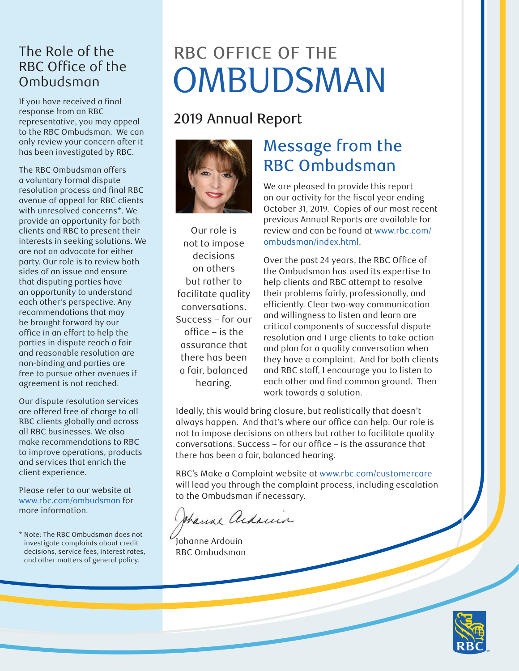#### The Role of the RBC Office of the Ombudsman

If you have received a final response from an RBC representative, you may appeal to the RBC Ombudsman. We can only review your concern after it has been investigated by RBC.

The RBC Ombudsman offers a voluntary formal dispute resolution process and final RBC avenue of appeal for RBC clients with unresolved concerns\*. We provide an opportunity for both clients and RBC to present their interests in seeking solutions. We are not an advocate for either party. Our role is to review both sides of an issue and ensure that disputing parties have an opportunity to understand each other's perspective. Any recommendations that may be brought forward by our office in an effort to help the parties in dispute reach a fair and reasonable resolution are non-binding and parties are free to pursue other avenues if agreement is not reached.

Our dispute resolution services are offered free of charge to all RBC clients globally and across all RBC businesses. We also make recommendations to RBC to improve operations, products and services that enrich the client experience.

Please refer to our website at [www.rbc.com/ombudsman](http://www.rbc.com/ombudsman) for more information.

\* Note: The RBC Ombudsman does not investigate complaints about credit decisions, service fees, interest rates, and other matters of general policy.

# RBC OFFICE OF THE OMBUDSMAN

## 2019 Annual Report



Our role is not to impose decisions on others but rather to facilitate quality conversations. Success – for our office – is the assurance that there has been a fair, balanced hearing.

## Message from the RBC Ombudsman

We are pleased to provide this report on our activity for the fiscal year ending October 31, 2019. Copies of our most recent previous Annual Reports are available for review and can be found at [www.rbc.com/](http://www.rbc.com/ombudsman/index.html) [ombudsman/index.html](http://www.rbc.com/ombudsman/index.html).

Over the past 24 years, the RBC Office of the Ombudsman has used its expertise to help clients and RBC attempt to resolve their problems fairly, professionally, and efficiently. Clear two-way communication and willingness to listen and learn are critical components of successful dispute resolution and I urge clients to take action and plan for a quality conversation when they have a complaint. And for both clients and RBC staff, I encourage you to listen to each other and find common ground. Then work towards a solution.

Ideally, this would bring closure, but realistically that doesn't always happen. And that's where our office can help. Our role is not to impose decisions on others but rather to facilitate quality conversations. Success – for our office – is the assurance that there has been a fair, balanced hearing.

RBC's Make a Complaint website at [www.rbc.com/customercare](http://www.rbc.com/customercare) will lead you through the complaint process, including escalation to the Ombudsman if necessary.

thank adams

Johanne Ardouin RBC Ombudsman